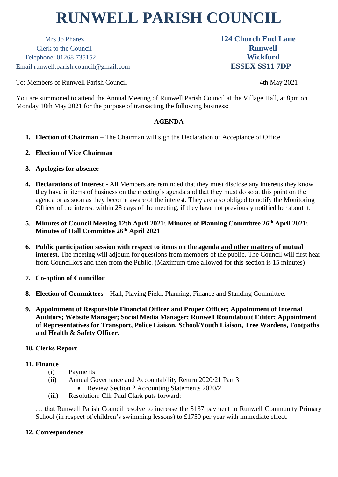# **RUNWELL PARISH COUNCIL**

\_\_\_\_\_\_\_\_\_\_\_\_\_\_\_\_\_\_\_\_\_\_\_\_\_\_\_\_\_\_\_\_\_\_\_\_\_\_\_\_\_\_\_\_\_\_\_\_\_\_\_\_\_\_\_\_\_\_\_\_\_\_\_\_\_\_\_\_\_\_\_\_\_

 Mrs Jo Pharez **124 Church End Lane** Clerk to the Council **Runwell** Telephone: 01268 735152 **Wickford** Email runwell.parish.council@gmail.com **ESSEX SS11 7DP**

To: Members of Runwell Parish Council 4th May 2021

You are summoned to attend the Annual Meeting of Runwell Parish Council at the Village Hall, at 8pm on Monday 10th May 2021 for the purpose of transacting the following business:

# **AGENDA**

- **1. Election of Chairman –** The Chairman will sign the Declaration of Acceptance of Office
- **2. Election of Vice Chairman**
- **3. Apologies for absence**
- **4. Declarations of Interest -** All Members are reminded that they must disclose any interests they know they have in items of business on the meeting's agenda and that they must do so at this point on the agenda or as soon as they become aware of the interest. They are also obliged to notify the Monitoring Officer of the interest within 28 days of the meeting, if they have not previously notified her about it.
- **5. Minutes of Council Meeting 12th April 2021; Minutes of Planning Committee 26 th April 2021; Minutes of Hall Committee 26th April 2021**
- **6. Public participation session with respect to items on the agenda and other matters of mutual interest.** The meeting will adjourn for questions from members of the public. The Council will first hear from Councillors and then from the Public. (Maximum time allowed for this section is 15 minutes)
- **7. Co-option of Councillor**
- **8. Election of Committees** Hall, Playing Field, Planning, Finance and Standing Committee.
- **9. Appointment of Responsible Financial Officer and Proper Officer; Appointment of Internal Auditors; Website Manager; Social Media Manager; Runwell Roundabout Editor; Appointment of Representatives for Transport, Police Liaison, School/Youth Liaison, Tree Wardens, Footpaths and Health & Safety Officer.**

## **10. Clerks Report**

## **11. Finance**

- (i) Payments
- (ii) Annual Governance and Accountability Return 2020/21 Part 3
	- Review Section 2 Accounting Statements 2020/21
- (iii) Resolution: Cllr Paul Clark puts forward:

… that Runwell Parish Council resolve to increase the S137 payment to Runwell Community Primary School (in respect of children's swimming lessons) to £1750 per year with immediate effect.

## **12. Correspondence**